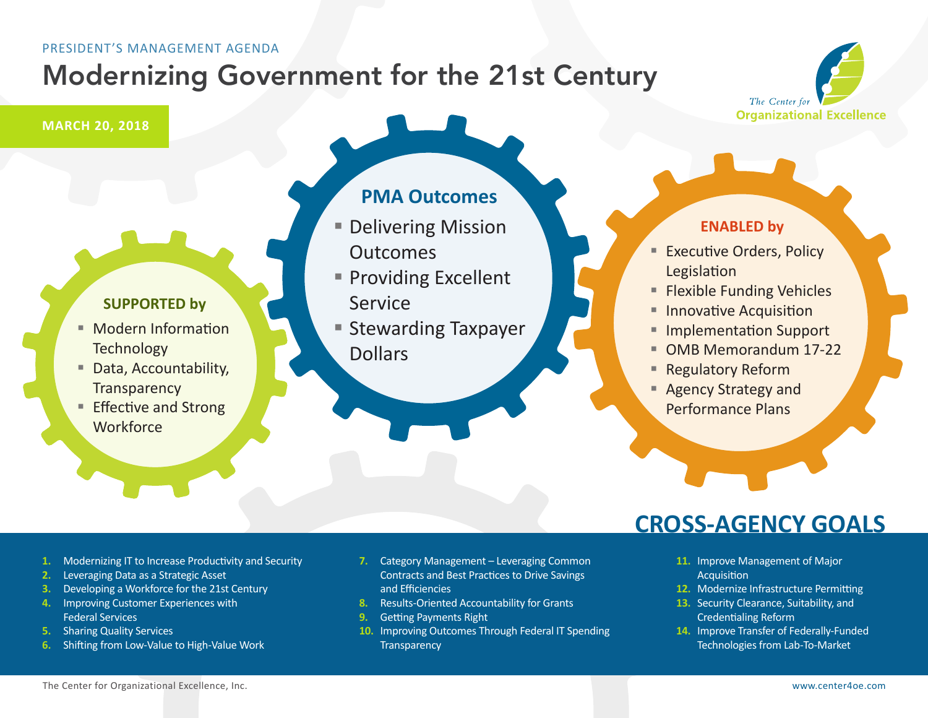# Modernizing Government for the 21st Century

The Center for **Organizational Excellence** 

## **MARCH 20, 2018**

## **SUPPORTED by**

- Modern Information **Technology**
- Data, Accountability, **Transparency**
- Effective and Strong **Workforce**

## **PMA Outcomes**

- **Delivering Mission Outcomes**
- **Providing Excellent** Service
- Stewarding Taxpayer Dollars

## **ENABLED by**

- **Executive Orders, Policy** Legislation
- **Flexible Funding Vehicles**
- **Innovative Acquisition**
- Implementation Support
- OMB Memorandum 17-22
- **Regulatory Reform**
- Agency Strategy and Performance Plans

#### **1.** Modernizing IT to Increase Productivity and Security

- **2.** Leveraging Data as a Strategic Asset
- **3.** Developing a Workforce for the 21st Century
- **4.** Improving Customer Experiences with Federal Services
- **5.** Sharing Quality Services
- **6.** Shifting from Low-Value to High-Value Work
- **7.** Category Management Leveraging Common Contracts and Best Practices to Drive Savings and Efficiencies
- **8.** Results-Oriented Accountability for Grants
- **9.** Getting Payments Right
- **10.** Improving Outcomes Through Federal IT Spending **Transparency**

## **CROSS-AGENCY GOALS**

- **11.** Improve Management of Major **Acquisition**
- **12.** Modernize Infrastructure Permitting
- **13.** Security Clearance, Suitability, and Credentialing Reform
- **14.** Improve Transfer of Federally-Funded Technologies from Lab-To-Market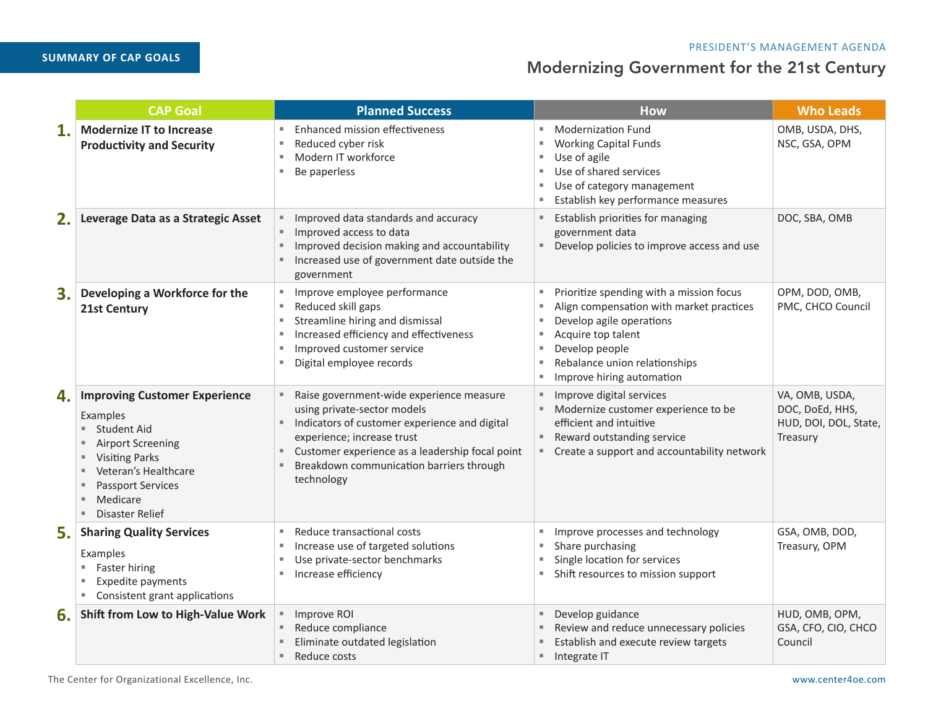**SUMMARY OF CAP GOALS** 

|              | <b>CAP Goal</b>                                                                                                                                                                                                                          | <b>Planned Success</b>                                                                                                                                                                                                                                                         | <b>How</b>                                                                                                                                                                                                                                      | <b>Who Leads</b>                                                       |
|--------------|------------------------------------------------------------------------------------------------------------------------------------------------------------------------------------------------------------------------------------------|--------------------------------------------------------------------------------------------------------------------------------------------------------------------------------------------------------------------------------------------------------------------------------|-------------------------------------------------------------------------------------------------------------------------------------------------------------------------------------------------------------------------------------------------|------------------------------------------------------------------------|
| $\mathbf{1}$ | <b>Modernize IT to Increase</b><br><b>Productivity and Security</b>                                                                                                                                                                      | Enhanced mission effectiveness<br>٠<br>Reduced cyber risk<br>Modern IT workforce<br>٠<br>Be paperless                                                                                                                                                                          | <b>Modernization Fund</b><br>ж<br><b>Working Capital Funds</b><br>ж<br>Use of agile<br>ш<br>Use of shared services<br>л<br>Use of category management<br>л<br>Establish key performance measures                                                | OMB, USDA, DHS,<br>NSC, GSA, OPM                                       |
| 2.           | Leverage Data as a Strategic Asset                                                                                                                                                                                                       | Improved data standards and accuracy<br>Improved access to data<br>٠,<br>Improved decision making and accountability<br>٠<br>Increased use of government date outside the<br>government                                                                                        | Establish priorities for managing<br>government data<br>Develop policies to improve access and use                                                                                                                                              | DOC, SBA, OMB                                                          |
| 3.           | Developing a Workforce for the<br><b>21st Century</b>                                                                                                                                                                                    | Improve employee performance<br>m.<br>Reduced skill gaps<br>٠<br>Streamline hiring and dismissal<br>ш<br>Increased efficiency and effectiveness<br>Improved customer service<br>u.<br>Digital employee records                                                                 | Prioritize spending with a mission focus<br>в<br>Align compensation with market practices<br>Develop agile operations<br>Acquire top talent<br>л<br>Develop people<br>л<br>Rebalance union relationships<br>л<br>Improve hiring automation<br>× | OPM, DOD, OMB,<br>PMC, CHCO Council                                    |
| 4.           | <b>Improving Customer Experience</b><br>Examples<br><b>Student Aid</b><br><b>Airport Screening</b><br>ш<br><b>Visiting Parks</b><br>ш<br>Veteran's Healthcare<br>ш<br><b>Passport Services</b><br>ш<br>Medicare<br>Disaster Relief<br>m. | Raise government-wide experience measure<br>using private-sector models<br>Indicators of customer experience and digital<br>٠,<br>experience; increase trust<br>Customer experience as a leadership focal point<br>٠<br>Breakdown communication barriers through<br>technology | Improve digital services<br>Modernize customer experience to be<br>efficient and intuitive<br>Reward outstanding service<br>Create a support and accountability network<br>ш                                                                    | VA, OMB, USDA,<br>DOC, DoEd, HHS,<br>HUD, DOI, DOL, State,<br>Treasury |
| 5.           | <b>Sharing Quality Services</b><br>Examples<br>Faster hiring<br>Expedite payments<br>ш<br>Consistent grant applications<br>ш.                                                                                                            | Reduce transactional costs<br>ш<br>Increase use of targeted solutions<br>ш<br>Use private-sector benchmarks<br>ш<br>Increase efficiency                                                                                                                                        | Improve processes and technology<br>л<br>Share purchasing<br>Single location for services<br>×<br>Shift resources to mission support<br>٠                                                                                                       | GSA, OMB, DOD,<br>Treasury, OPM                                        |
| 6.           | Shift from Low to High-Value Work                                                                                                                                                                                                        | Improve ROI<br>Reduce compliance<br>۰.<br>Eliminate outdated legislation<br>Reduce costs<br>$\blacksquare$                                                                                                                                                                     | Develop guidance<br>Review and reduce unnecessary policies<br>Establish and execute review targets<br>Integrate IT<br>$\blacksquare$                                                                                                            | HUD, OMB, OPM,<br>GSA, CFO, CIO, CHCO<br>Council                       |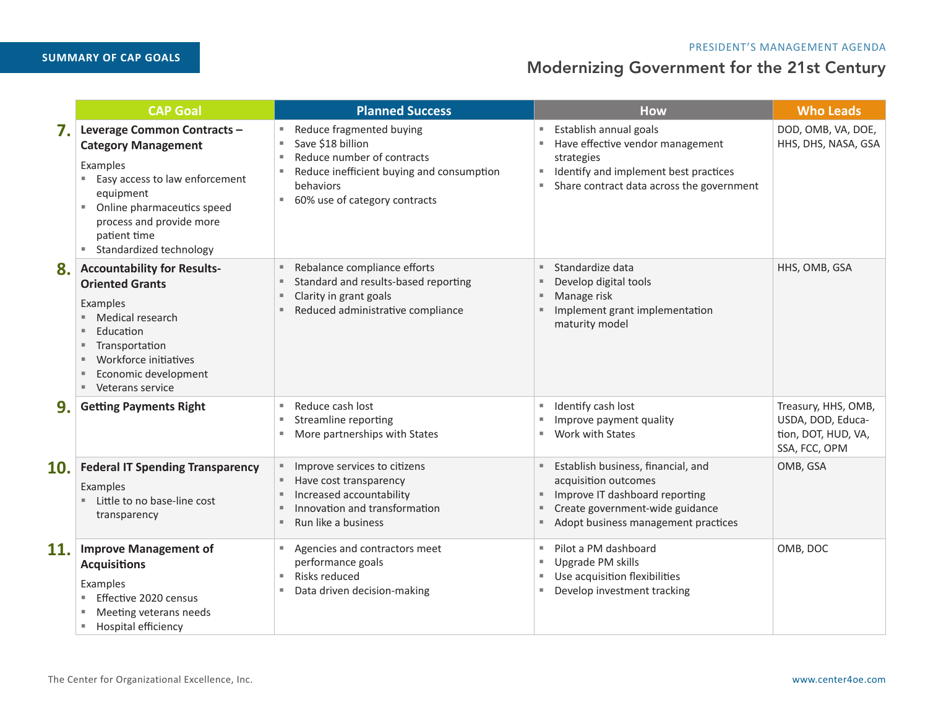# **SUMMARY OF CAP GOALS**

|     | <b>CAP Goal</b>                                                                                                                                                                                                                | <b>Planned Success</b>                                                                                                                                                                | <b>How</b>                                                                                                                                                                                                                   | <b>Who Leads</b>                                                                 |
|-----|--------------------------------------------------------------------------------------------------------------------------------------------------------------------------------------------------------------------------------|---------------------------------------------------------------------------------------------------------------------------------------------------------------------------------------|------------------------------------------------------------------------------------------------------------------------------------------------------------------------------------------------------------------------------|----------------------------------------------------------------------------------|
| 7.  | Leverage Common Contracts -<br><b>Category Management</b><br>Examples<br>Easy access to law enforcement<br>equipment<br>Online pharmaceutics speed<br>ш<br>process and provide more<br>patient time<br>Standardized technology | Reduce fragmented buying<br>Save \$18 billion<br>Reduce number of contracts<br>л<br>Reduce inefficient buying and consumption<br>ш<br>behaviors<br>60% use of category contracts<br>ш | Establish annual goals<br>Have effective vendor management<br>н.<br>strategies<br>Identify and implement best practices<br>$\overline{\phantom{a}}$<br>Share contract data across the government<br>$\overline{\phantom{a}}$ | DOD, OMB, VA, DOE,<br>HHS, DHS, NASA, GSA                                        |
| 8.  | <b>Accountability for Results-</b><br><b>Oriented Grants</b><br>Examples<br>Medical research<br>Education<br>Transportation<br>ш<br>Workforce initiatives<br>Economic development<br>Veterans service<br>ш.                    | Rebalance compliance efforts<br>Standard and results-based reporting<br>Clarity in grant goals<br>ш<br>Reduced administrative compliance<br>٠                                         | Standardize data<br>Develop digital tools<br>Manage risk<br>Implement grant implementation<br>maturity model                                                                                                                 | HHS, OMB, GSA                                                                    |
| 9.  | <b>Getting Payments Right</b>                                                                                                                                                                                                  | Reduce cash lost<br>ш<br>Streamline reporting<br>ш<br>More partnerships with States<br>×.                                                                                             | Identify cash lost<br>u.<br>Improve payment quality<br>٠<br>■ Work with States                                                                                                                                               | Treasury, HHS, OMB,<br>USDA, DOD, Educa-<br>tion, DOT, HUD, VA,<br>SSA, FCC, OPM |
| 10. | <b>Federal IT Spending Transparency</b><br>Examples<br>Little to no base-line cost<br>transparency                                                                                                                             | Improve services to citizens<br>ш<br>Have cost transparency<br>ш<br>Increased accountability<br>л<br>Innovation and transformation<br>л<br>Run like a business<br>ж                   | Establish business, financial, and<br>٠.<br>acquisition outcomes<br>Improve IT dashboard reporting<br>Create government-wide guidance<br>Adopt business management practices                                                 | OMB, GSA                                                                         |
| 11. | <b>Improve Management of</b><br><b>Acquisitions</b><br>Examples<br>Effective 2020 census<br>Meeting veterans needs<br>Hospital efficiency                                                                                      | Agencies and contractors meet<br>performance goals<br>Risks reduced<br>ш<br>Data driven decision-making                                                                               | Pilot a PM dashboard<br>a.<br>Upgrade PM skills<br>٠<br>Use acquisition flexibilities<br><b>College</b><br>Develop investment tracking<br>$\overline{\phantom{a}}$                                                           | OMB, DOC                                                                         |